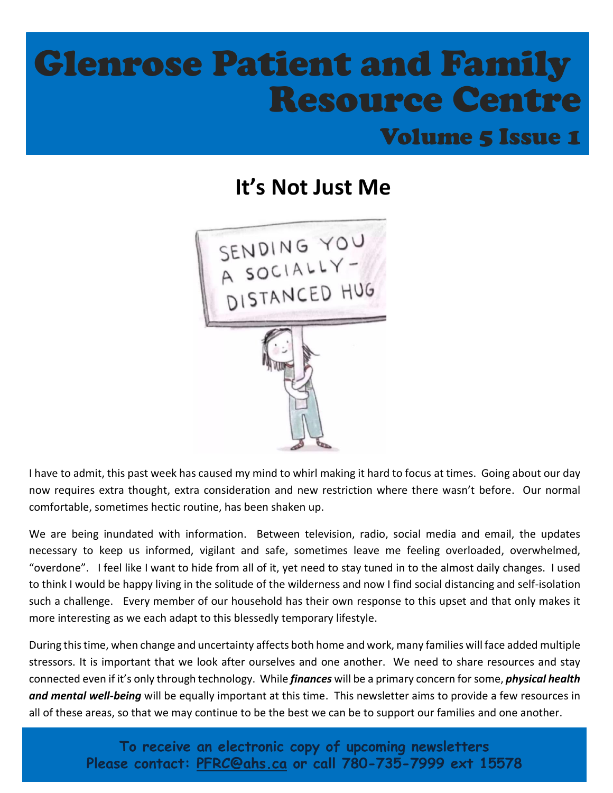# Glenrose Patient and Family Resource Centre

### Volume 5 Issue 1

### **It's Not Just Me**



I have to admit, this past week has caused my mind to whirl making it hard to focus at times. Going about our day now requires extra thought, extra consideration and new restriction where there wasn't before. Our normal comfortable, sometimes hectic routine, has been shaken up.

We are being inundated with information. Between television, radio, social media and email, the updates necessary to keep us informed, vigilant and safe, sometimes leave me feeling overloaded, overwhelmed, "overdone". I feel like I want to hide from all of it, yet need to stay tuned in to the almost daily changes. I used to think I would be happy living in the solitude of the wilderness and now I find social distancing and self-isolation such a challenge. Every member of our household has their own response to this upset and that only makes it more interesting as we each adapt to this blessedly temporary lifestyle.

During this time, when change and uncertainty affects both home and work, many families will face added multiple stressors. It is important that we look after ourselves and one another. We need to share resources and stay connected even if it's only through technology. While *finances* will be a primary concern for some, *physical health and mental well-being* will be equally important at this time. This newsletter aims to provide a few resources in all of these areas, so that we may continue to be the best we can be to support our families and one another.

> **To receive an electronic copy of upcoming newsletters Please contact: [PFRC@ahs.ca](mailto:PFRC@albertahealthservices.ca) or call 780-735-7999 ext 15578**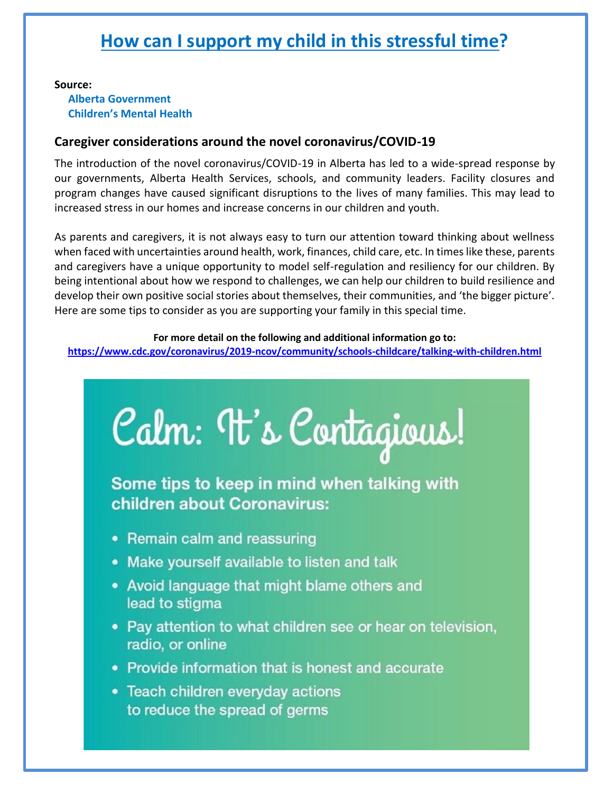### **How can I support my child in this stressful time?**

#### **Source:**

#### **Alberta Government Children's Mental Health**

#### **Caregiver considerations around the novel coronavirus/COVID-19**

The introduction of the novel coronavirus/COVID-19 in Alberta has led to a wide-spread response by our governments, Alberta Health Services, schools, and community leaders. Facility closures and program changes have caused significant disruptions to the lives of many families. This may lead to increased stress in our homes and increase concerns in our children and youth.

As parents and caregivers, it is not always easy to turn our attention toward thinking about wellness when faced with uncertainties around health, work, finances, child care, etc. In times like these, parents and caregivers have a unique opportunity to model self-regulation and resiliency for our children. By being intentional about how we respond to challenges, we can help our children to build resilience and develop their own positive social stories about themselves, their communities, and 'the bigger picture'. Here are some tips to consider as you are supporting your family in this special time.

#### **For more detail on the following and additional information go to:**

**<https://www.cdc.gov/coronavirus/2019-ncov/community/schools-childcare/talking-with-children.html>**



Some tips to keep in mind when talking with children about Coronavirus:

- Remain calm and reassuring
- Make yourself available to listen and talk
- Avoid language that might blame others and lead to stigma
- Pay attention to what children see or hear on television, radio, or online
- Provide information that is honest and accurate
- Teach children everyday actions to reduce the spread of germs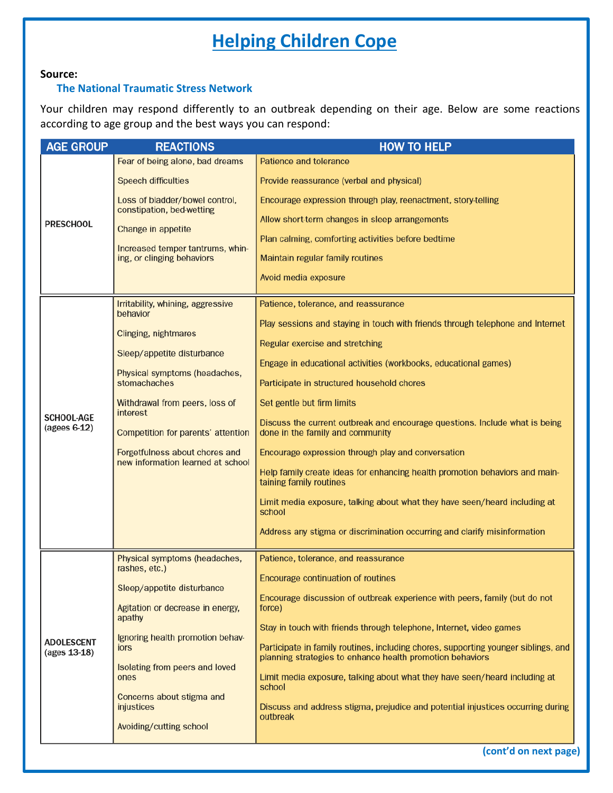### **Helping Children Cope**

#### **Source:**

#### **The National Traumatic Stress Network**

Your children may respond differently to an outbreak depending on their age. Below are some reactions according to age group and the best ways you can respond:

| <b>AGE GROUP</b>                  | <b>REACTIONS</b>                                                    | <b>HOW TO HELP</b>                                                                                                                              |
|-----------------------------------|---------------------------------------------------------------------|-------------------------------------------------------------------------------------------------------------------------------------------------|
| <b>PRESCHOOL</b>                  | Fear of being alone, bad dreams                                     | Patience and tolerance                                                                                                                          |
|                                   | <b>Speech difficulties</b>                                          | Provide reassurance (verbal and physical)                                                                                                       |
|                                   | Loss of bladder/bowel control,<br>constipation, bed-wetting         | Encourage expression through play, reenactment, story-telling                                                                                   |
|                                   | Change in appetite                                                  | Allow short-term changes in sleep arrangements                                                                                                  |
|                                   | Increased temper tantrums, whin-                                    | Plan calming, comforting activities before bedtime                                                                                              |
|                                   | ing, or clinging behaviors                                          | Maintain regular family routines                                                                                                                |
|                                   |                                                                     | Avoid media exposure                                                                                                                            |
| <b>SCHOOL-AGE</b><br>(agees 6-12) | Irritability, whining, aggressive<br>behavior                       | Patience, tolerance, and reassurance                                                                                                            |
|                                   | Clinging, nightmares                                                | Play sessions and staying in touch with friends through telephone and Internet                                                                  |
|                                   | Sleep/appetite disturbance                                          | Regular exercise and stretching                                                                                                                 |
|                                   | Physical symptoms (headaches,                                       | Engage in educational activities (workbooks, educational games)                                                                                 |
|                                   | stomachaches                                                        | Participate in structured household chores                                                                                                      |
|                                   | Withdrawal from peers, loss of<br>interest                          | Set gentle but firm limits                                                                                                                      |
|                                   | Competition for parents' attention                                  | Discuss the current outbreak and encourage questions. Include what is being<br>done in the family and community                                 |
|                                   | Forgetfulness about chores and<br>new information learned at school | Encourage expression through play and conversation                                                                                              |
|                                   |                                                                     | Help family create ideas for enhancing health promotion behaviors and main-<br>taining family routines                                          |
|                                   |                                                                     | Limit media exposure, talking about what they have seen/heard including at<br>school                                                            |
|                                   |                                                                     | Address any stigma or discrimination occurring and clarify misinformation                                                                       |
| <b>ADOLESCENT</b><br>(ages 13-18) | Physical symptoms (headaches,<br>rashes, etc.)                      | Patience, tolerance, and reassurance                                                                                                            |
|                                   | Sleep/appetite disturbance                                          | Encourage continuation of routines                                                                                                              |
|                                   |                                                                     | Encourage discussion of outbreak experience with peers, family (but do not                                                                      |
|                                   | Agitation or decrease in energy,<br>apathy                          | force)                                                                                                                                          |
|                                   | Ignoring health promotion behav-                                    | Stay in touch with friends through telephone, Internet, video games                                                                             |
|                                   | iors                                                                | Participate in family routines, including chores, supporting younger siblings, and<br>planning strategies to enhance health promotion behaviors |
|                                   | Isolating from peers and loved<br>ones                              | Limit media exposure, talking about what they have seen/heard including at<br>school                                                            |
|                                   | Concerns about stigma and<br>injustices                             | Discuss and address stigma, prejudice and potential injustices occurring during                                                                 |
|                                   | Avoiding/cutting school                                             | outbreak                                                                                                                                        |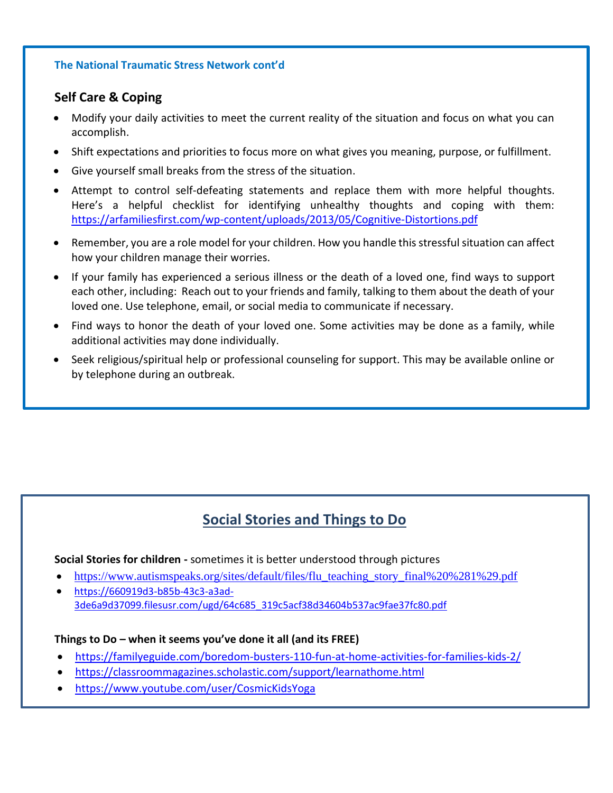#### **The National Traumatic Stress Network cont'd**

#### **Self Care & Coping**

- Modify your daily activities to meet the current reality of the situation and focus on what you can accomplish.
- Shift expectations and priorities to focus more on what gives you meaning, purpose, or fulfillment.
- Give yourself small breaks from the stress of the situation.
- Attempt to control self-defeating statements and replace them with more helpful thoughts. Here's a helpful checklist for identifying unhealthy thoughts and coping with them: <https://arfamiliesfirst.com/wp-content/uploads/2013/05/Cognitive-Distortions.pdf>
- Remember, you are a role model for your children. How you handle this stressful situation can affect how your children manage their worries.
- If your family has experienced a serious illness or the death of a loved one, find ways to support each other, including: Reach out to your friends and family, talking to them about the death of your loved one. Use telephone, email, or social media to communicate if necessary.
- Find ways to honor the death of your loved one. Some activities may be done as a family, while additional activities may done individually.
- Seek religious/spiritual help or professional counseling for support. This may be available online or by telephone during an outbreak.

### **Social Stories and Things to Do**

**Social Stories for children -** sometimes it is better understood through pictures

- [https://www.autismspeaks.org/sites/default/files/flu\\_teaching\\_story\\_final%20%281%29.pdf](https://www.autismspeaks.org/sites/default/files/flu_teaching_story_final%20%281%29.pdf)
- [https://660919d3-b85b-43c3-a3ad-](https://660919d3-b85b-43c3-a3ad-3de6a9d37099.filesusr.com/ugd/64c685_319c5acf38d34604b537ac9fae37fc80.pdf)[3de6a9d37099.filesusr.com/ugd/64c685\\_319c5acf38d34604b537ac9fae37fc80.pdf](https://660919d3-b85b-43c3-a3ad-3de6a9d37099.filesusr.com/ugd/64c685_319c5acf38d34604b537ac9fae37fc80.pdf)

#### **Things to Do – when it seems you've done it all (and its FREE)**

- <https://familyeguide.com/boredom-busters-110-fun-at-home-activities-for-families-kids-2/>
- <https://classroommagazines.scholastic.com/support/learnathome.html>
- <https://www.youtube.com/user/CosmicKidsYoga>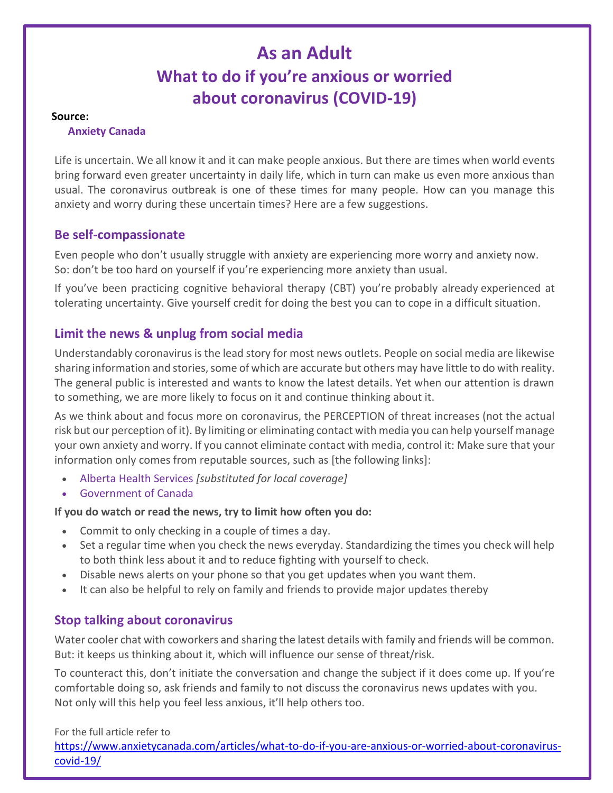### **As an Adult What to do if you're anxious or worried about coronavirus (COVID-19)**

#### **Source:**

#### **Anxiety Canada**

Life is uncertain. We all know it and it can make people anxious. But there are times when world events bring forward even greater uncertainty in daily life, which in turn can make us even more anxious than usual. The coronavirus outbreak is one of these times for many people. How can you manage this anxiety and worry during these uncertain times? Here are a few suggestions.

#### **Be self-compassionate**

Even people who don't usually struggle with anxiety are experiencing more worry and anxiety now. So: don't be too hard on yourself if you're experiencing more anxiety than usual.

If you've been practicing cognitive behavioral therapy (CBT) you're probably already experienced at tolerating uncertainty. Give yourself credit for doing the best you can to cope in a difficult situation.

#### **Limit the news & unplug from social media**

Understandably coronavirus is the lead story for most news outlets. People on social media are likewise sharing information and stories, some of which are accurate but others may have little to do with reality. The general public is interested and wants to know the latest details. Yet when our attention is drawn to something, we are more likely to focus on it and continue thinking about it.

As we think about and focus more on coronavirus, the PERCEPTION of threat increases (not the actual risk but our perception of it). By limiting or eliminating contact with media you can help yourself manage your own anxiety and worry. If you cannot eliminate contact with media, control it: Make sure that your information only comes from reputable sources, such as [the following links]:

- [Alberta](http://www.bccdc.ca/health-info/diseases-conditions/coronavirus-(novel)) Health Services *[substituted for local coverage]*
- [Government of Canada](https://www.canada.ca/en/public-health/services/diseases/2019-novel-coronavirus-infection.html)

#### **If you do watch or read the news, try to limit how often you do:**

- Commit to only checking in a couple of times a day.
- Set a regular time when you check the news everyday. Standardizing the times you check will help to both think less about it and to reduce fighting with yourself to check.
- Disable news alerts on your phone so that you get updates when you want them.
- It can also be helpful to rely on family and friends to provide major updates thereby

#### **Stop talking about coronavirus**

Water cooler chat with coworkers and sharing the latest details with family and friends will be common. But: it keeps us thinking about it, which will influence our sense of threat/risk.

To counteract this, don't initiate the conversation and change the subject if it does come up. If you're comfortable doing so, ask friends and family to not discuss the coronavirus news updates with you. Not only will this help you feel less anxious, it'll help others too.

For the full article refer to

[https://www.anxietycanada.com/articles/what-to-do-if-you-are-anxious-or-worried-about-coronavirus](https://www.anxietycanada.com/articles/what-to-do-if-you-are-anxious-or-worried-about-coronavirus-covid-19/)[covid-19/](https://www.anxietycanada.com/articles/what-to-do-if-you-are-anxious-or-worried-about-coronavirus-covid-19/)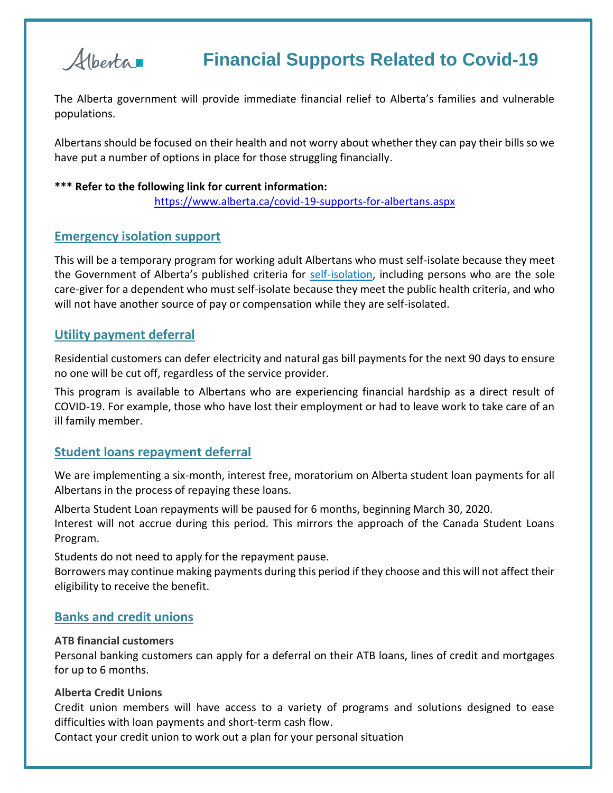

### **Financial Supports Related to Covid-19**

The Alberta government will provide immediate financial relief to Alberta's families and vulnerable populations.

Albertans should be focused on their health and not worry about whether they can pay their bills so we have put a number of options in place for those struggling financially.

#### **\*\*\* Refer to the following link for current information:**

<https://www.alberta.ca/covid-19-supports-for-albertans.aspx>

#### **Emergency isolation support**

This will be a temporary program for working adult Albertans who must self-isolate because they meet the Government of Alberta's published criteria for [self-isolation,](https://www.alberta.ca/self-isolation.aspx) including persons who are the sole care-giver for a dependent who must self-isolate because they meet the public health criteria, and who will not have another source of pay or compensation while they are self-isolated.

#### **Utility payment deferral**

Residential customers can defer electricity and natural gas bill payments for the next 90 days to ensure no one will be cut off, regardless of the service provider.

This program is available to Albertans who are experiencing financial hardship as a direct result of COVID-19. For example, those who have lost their employment or had to leave work to take care of an ill family member.

#### **Student loans repayment deferral**

We are implementing a six-month, interest free, moratorium on Alberta student loan payments for all Albertans in the process of repaying these loans.

Alberta Student Loan repayments will be paused for 6 months, beginning March 30, 2020. Interest will not accrue during this period. This mirrors the approach of the Canada Student Loans Program.

Students do not need to apply for the repayment pause.

Borrowers may continue making payments during this period if they choose and this will not affect their eligibility to receive the benefit.

#### **Banks and credit unions**

#### **ATB financial customers**

Personal banking customers can apply for a deferral on their ATB loans, lines of credit and mortgages for up to 6 months.

#### **Alberta Credit Unions**

Credit union members will have access to a variety of programs and solutions designed to ease difficulties with loan payments and short-term cash flow.

Contact your credit union to work out a plan for your personal situation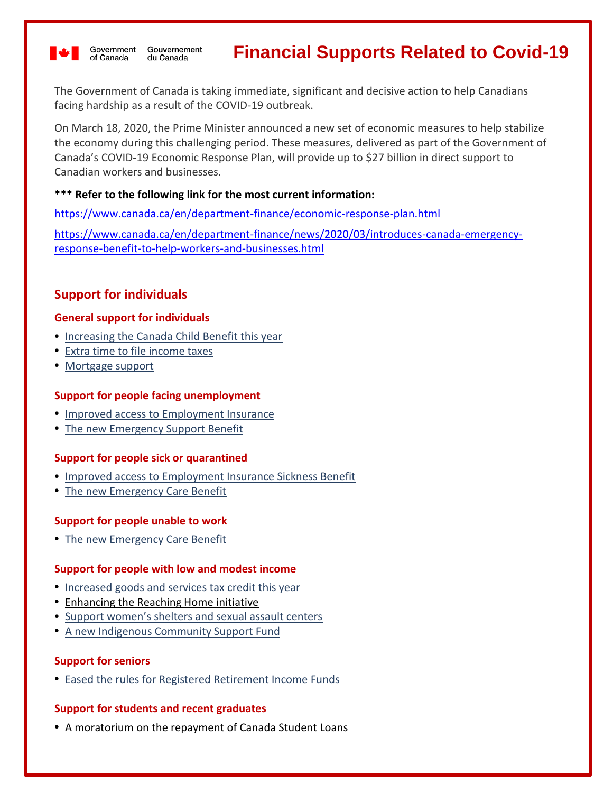

Government Gouvernement of Canada du Canada

### **Financial Supports Related to Covid-19**

The Government of Canada is taking immediate, significant and decisive action to help Canadians facing hardship as a result of the COVID-19 outbreak.

On March 18, 2020, the Prime Minister announced a new set of economic measures to help stabilize the economy during this challenging period. These measures, delivered as part of the Government of Canada's COVID-19 Economic Response Plan, will provide up to \$27 billion in direct support to Canadian workers and businesses.

#### **\*\*\* Refer to the following link for the most current information:**

<https://www.canada.ca/en/department-finance/economic-response-plan.html>

[https://www.canada.ca/en/department-finance/news/2020/03/introduces-canada-emergency](https://www.canada.ca/en/department-finance/news/2020/03/introduces-canada-emergency-response-benefit-to-help-workers-and-businesses.html)[response-benefit-to-help-workers-and-businesses.html](https://www.canada.ca/en/department-finance/news/2020/03/introduces-canada-emergency-response-benefit-to-help-workers-and-businesses.html)

#### **Support for individuals**

#### **General support for individuals**

- [Increasing the Canada Child Benefit this year](https://www.canada.ca/en/department-finance/economic-response-plan/covid19-individuals.html#increasing_canada_child_benefit)
- [Extra time to file income taxes](https://www.canada.ca/en/department-finance/economic-response-plan/covid19-individuals.html#extra_time_income_taxes)
- [Mortgage support](https://www.canada.ca/en/department-finance/economic-response-plan/covid19-individuals.html#mortgage_support)

#### **Support for people facing unemployment**

- [Improved access to Employment Insurance](https://www.canada.ca/en/department-finance/economic-response-plan/covid19-individuals.html#improved_access_employment_insurance)
- [The new Emergency Support Benefit](https://www.canada.ca/en/department-finance/economic-response-plan/covid19-individuals.html#emergency_support_benefit)

#### **Support for people sick or quarantined**

- [Improved access to Employment Insurance Sickness Benefit](https://www.canada.ca/en/department-finance/economic-response-plan/covid19-individuals.html#improved_access_employment_insurance_sickness_benefit)
- [The new Emergency Care Benefit](https://www.canada.ca/en/department-finance/economic-response-plan/covid19-individuals.html#emergency_care_benefit)

#### **Support for people unable to work**

• [The new Emergency Care Benefit](https://www.canada.ca/en/department-finance/economic-response-plan/covid19-individuals.html#emergency_care_benefit)

#### **Support for people with low and modest income**

- [Increased goods and services tax credit this year](https://www.canada.ca/en/department-finance/economic-response-plan/covid19-individuals.html#increased_goods_services_tax_credit)
- [Enhancing the Reaching Home initiative](https://www.canada.ca/en/department-finance/economic-response-plan/covid19-individuals.html#enhancing_reaching_home_initiative)
- [Support women's shelters and sexual assault centers](https://www.canada.ca/en/department-finance/economic-response-plan/covid19-individuals.html#support_women_shelters_and_sexual_assault_centers)
- [A new Indigenous Community Support Fund](https://www.canada.ca/en/department-finance/economic-response-plan/covid19-individuals.html#indigenous_community_support_fund)

#### **Support for seniors**

• [Eased the rules for Registered Retirement Income Funds](https://www.canada.ca/en/department-finance/economic-response-plan/covid19-individuals.html#eased_rules_registered_retirement_income_funds)

#### **Support for students and recent graduates**

• [A moratorium on the repayment of Canada Student Loans](https://www.canada.ca/en/department-finance/economic-response-plan/covid19-individuals.html#canada_student_loans)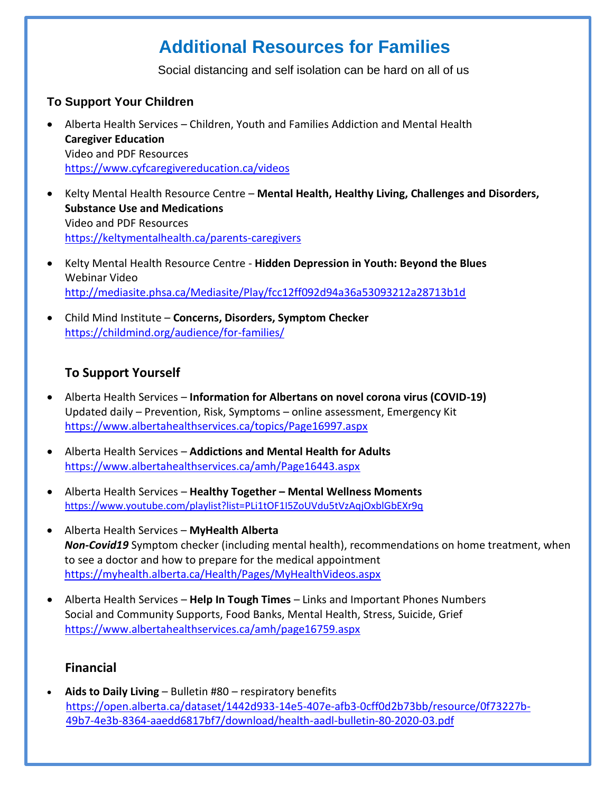### **Additional Resources for Families**

Social distancing and self isolation can be hard on all of us

#### **To Support Your Children**

- Alberta Health Services Children, Youth and Families Addiction and Mental Health **Caregiver Education** Video and PDF Resources <https://www.cyfcaregivereducation.ca/videos>
- Kelty Mental Health Resource Centre **Mental Health, Healthy Living, Challenges and Disorders, Substance Use and Medications** Video and PDF Resources <https://keltymentalhealth.ca/parents-caregivers>
- Kelty Mental Health Resource Centre **Hidden Depression in Youth: Beyond the Blues** Webinar Video <http://mediasite.phsa.ca/Mediasite/Play/fcc12ff092d94a36a53093212a28713b1d>
- Child Mind Institute **Concerns, Disorders, Symptom Checker** <https://childmind.org/audience/for-families/>

#### https://ww https://www.albertahealthservices.ca/amh/page16759.aspx w. https://www.albertahealthservices.ca/amh/page16759.aslbertahealthservices.ca/amh/page16759.asp **To Support Yourself**

- Alberta Health Services **Information for Albertans on novel corona virus (COVID-19)** Updated daily - Prevention, Risk, Symptoms - online assessment, Emergency Kit <https://www.albertahealthservices.ca/topics/Page16997.aspx>
- Alberta Health Services **Addictions and Mental Health for Adults** <https://www.albertahealthservices.ca/amh/Page16443.aspx>
- Alberta Health Services **Healthy Together – Mental Wellness Moments** <https://www.youtube.com/playlist?list=PLi1tOF1I5ZoUVdu5tVzAqjOxblGbEXr9q>
- Alberta Health Services **MyHealth Alberta** *Non-Covid19* Symptom checker (including mental health), recommendations on home treatment, when to see a doctor and how to prepare for the medical appointment <https://myhealth.alberta.ca/Health/Pages/MyHealthVideos.aspx>
- Alberta Health Services **Help In Tough Times** Links and Important Phones Numbers Social and Community Supports, Food Banks, Mental Health, Stress, Suicide, Grief <https://www.albertahealthservices.ca/amh/page16759.aspx>

#### **Financial**

• **Aids to Daily Living** – Bulletin #80 – respiratory benefits [https://open.alberta.ca/dataset/1442d933-14e5-407e-afb3-0cff0d2b73bb/resource/0f73227b-](https://open.alberta.ca/dataset/1442d933-14e5-407e-afb3-0cff0d2b73bb/resource/0f73227b-49b7-4e3b-8364-aaedd6817bf7/download/health-aadl-bulletin-80-2020-03.pdf)[49b7-4e3b-8364-aaedd6817bf7/download/health-aadl-bulletin-80-2020-03.pdf](https://open.alberta.ca/dataset/1442d933-14e5-407e-afb3-0cff0d2b73bb/resource/0f73227b-49b7-4e3b-8364-aaedd6817bf7/download/health-aadl-bulletin-80-2020-03.pdf)